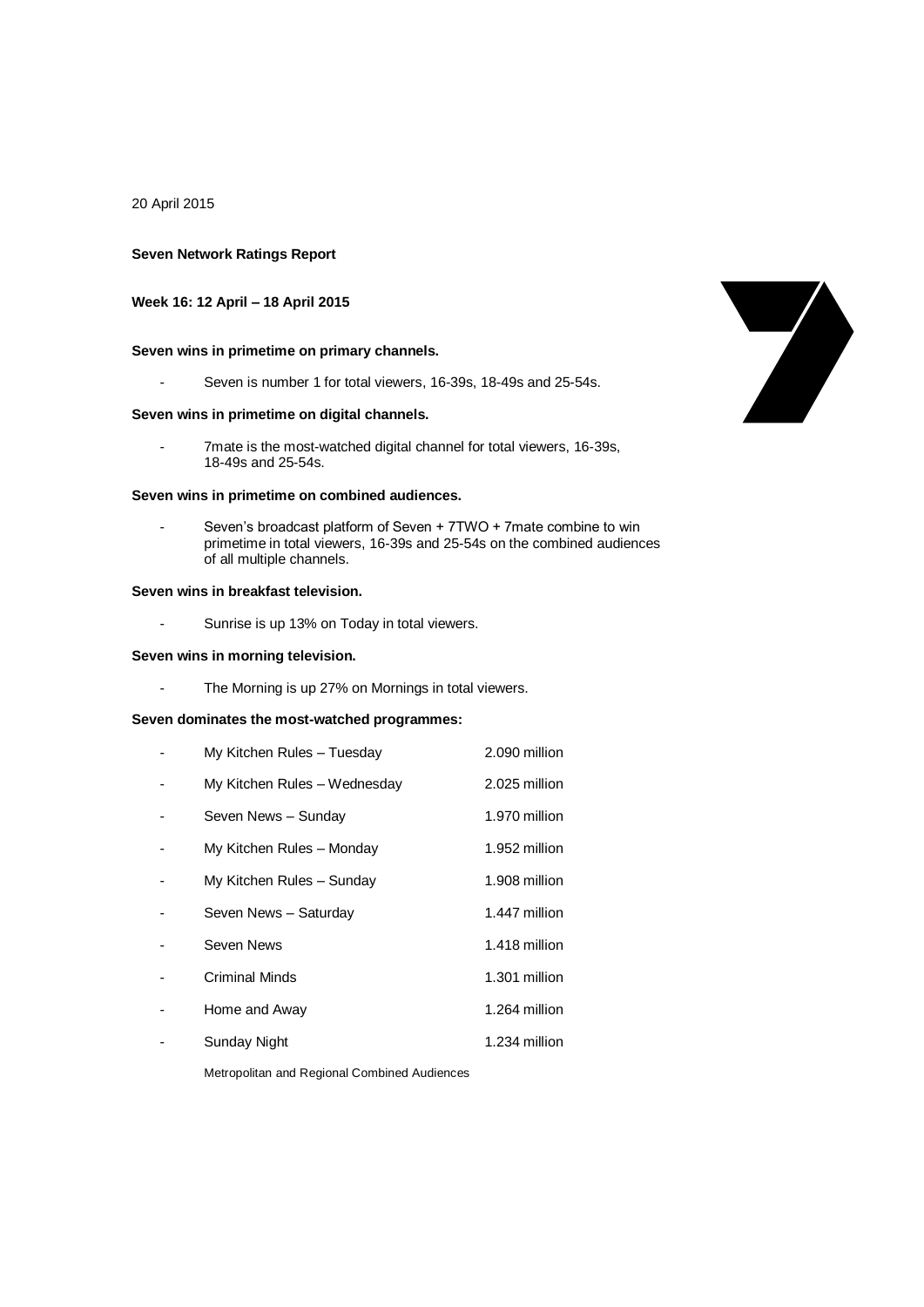20 April 2015

## **Seven Network Ratings Report**

# **Week 16: 12 April – 18 April 2015**

# **Seven wins in primetime on primary channels.**

- Seven is number 1 for total viewers, 16-39s, 18-49s and 25-54s.

# **Seven wins in primetime on digital channels.**

- 7mate is the most-watched digital channel for total viewers, 16-39s, 18-49s and 25-54s.

#### **Seven wins in primetime on combined audiences.**

Seven's broadcast platform of Seven + 7TWO + 7mate combine to win primetime in total viewers, 16-39s and 25-54s on the combined audiences of all multiple channels.

#### **Seven wins in breakfast television.**

- Sunrise is up 13% on Today in total viewers.

## **Seven wins in morning television.**

- The Morning is up 27% on Mornings in total viewers.

# **Seven dominates the most-watched programmes:**

| My Kitchen Rules - Tuesday   | 2.090 million |
|------------------------------|---------------|
| My Kitchen Rules - Wednesday | 2.025 million |
| Seven News - Sunday          | 1.970 million |
| My Kitchen Rules - Monday    | 1.952 million |
| My Kitchen Rules - Sunday    | 1.908 million |
| Seven News - Saturday        | 1.447 million |
| Seven News                   | 1.418 million |
| Criminal Minds               | 1.301 million |
| Home and Away                | 1.264 million |
| <b>Sunday Night</b>          | 1.234 million |

Metropolitan and Regional Combined Audiences

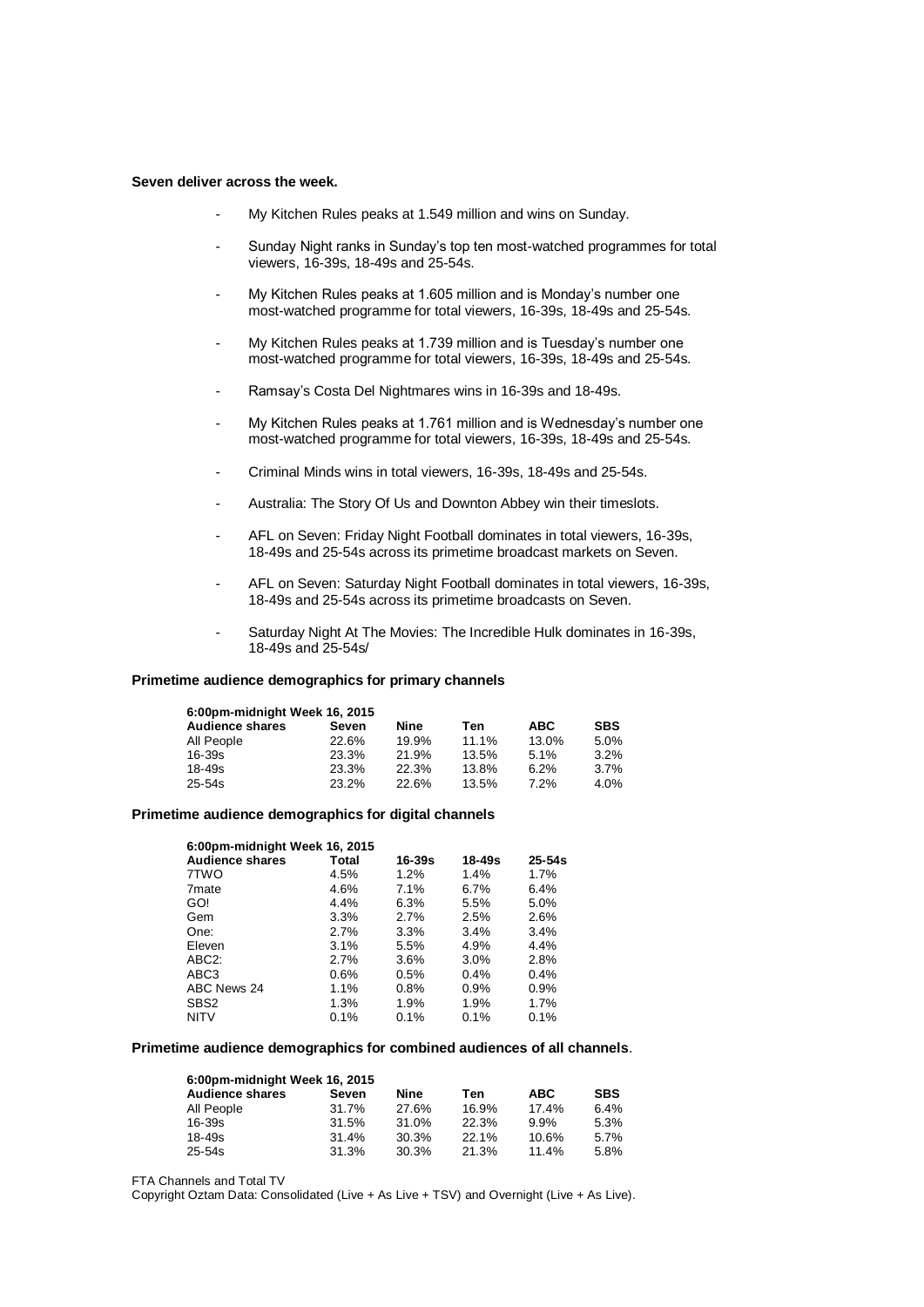#### **Seven deliver across the week.**

- My Kitchen Rules peaks at 1.549 million and wins on Sunday.
- Sunday Night ranks in Sunday's top ten most-watched programmes for total viewers, 16-39s, 18-49s and 25-54s.
- My Kitchen Rules peaks at 1.605 million and is Monday's number one most-watched programme for total viewers, 16-39s, 18-49s and 25-54s.
- My Kitchen Rules peaks at 1.739 million and is Tuesday's number one most-watched programme for total viewers, 16-39s, 18-49s and 25-54s.
- Ramsay's Costa Del Nightmares wins in 16-39s and 18-49s.
- My Kitchen Rules peaks at 1.761 million and is Wednesday's number one most-watched programme for total viewers, 16-39s, 18-49s and 25-54s.
- Criminal Minds wins in total viewers, 16-39s, 18-49s and 25-54s.
- Australia: The Story Of Us and Downton Abbey win their timeslots.
- AFL on Seven: Friday Night Football dominates in total viewers, 16-39s, 18-49s and 25-54s across its primetime broadcast markets on Seven.
- AFL on Seven: Saturday Night Football dominates in total viewers, 16-39s, 18-49s and 25-54s across its primetime broadcasts on Seven.
- Saturday Night At The Movies: The Incredible Hulk dominates in 16-39s, 18-49s and 25-54s/

#### **Primetime audience demographics for primary channels**

| 6:00pm-midnight Week 16, 2015 |       |       |       |            |            |  |
|-------------------------------|-------|-------|-------|------------|------------|--|
| <b>Audience shares</b>        | Seven | Nine  | Ten   | <b>ABC</b> | <b>SBS</b> |  |
| All People                    | 22.6% | 19.9% | 11.1% | 13.0%      | 5.0%       |  |
| $16 - 39s$                    | 23.3% | 21.9% | 13.5% | 5.1%       | 3.2%       |  |
| 18-49s                        | 23.3% | 22.3% | 13.8% | 6.2%       | 3.7%       |  |
| $25 - 54s$                    | 23.2% | 22.6% | 13.5% | 7.2%       | 4.0%       |  |

#### **Primetime audience demographics for digital channels**

| 6:00pm-midnight Week 16, 2015 |       |        |         |            |  |
|-------------------------------|-------|--------|---------|------------|--|
| <b>Audience shares</b>        | Total | 16-39s | 18-49s  | $25 - 54s$ |  |
| 7TWO                          | 4.5%  | 1.2%   | 1.4%    | 1.7%       |  |
| 7 <sub>mate</sub>             | 4.6%  | 7.1%   | $6.7\%$ | 6.4%       |  |
| GO!                           | 4.4%  | 6.3%   | 5.5%    | 5.0%       |  |
| Gem                           | 3.3%  | 2.7%   | 2.5%    | 2.6%       |  |
| One:                          | 2.7%  | 3.3%   | 3.4%    | 3.4%       |  |
| Eleven                        | 3.1%  | 5.5%   | 4.9%    | 4.4%       |  |
| ABC <sub>2</sub> :            | 2.7%  | 3.6%   | 3.0%    | 2.8%       |  |
| ABC <sub>3</sub>              | 0.6%  | 0.5%   | 0.4%    | 0.4%       |  |
| ABC News 24                   | 1.1%  | 0.8%   | 0.9%    | 0.9%       |  |
| SBS <sub>2</sub>              | 1.3%  | 1.9%   | 1.9%    | 1.7%       |  |
| <b>NITV</b>                   | 0.1%  | 0.1%   | 0.1%    | 0.1%       |  |
|                               |       |        |         |            |  |

#### **Primetime audience demographics for combined audiences of all channels**.

| 6:00pm-midnight Week 16, 2015 |       |       |       |            |            |  |
|-------------------------------|-------|-------|-------|------------|------------|--|
| <b>Audience shares</b>        | Seven | Nine  | Ten   | <b>ABC</b> | <b>SBS</b> |  |
| All People                    | 31.7% | 27.6% | 16.9% | 17.4%      | 6.4%       |  |
| $16 - 39s$                    | 31.5% | 31.0% | 22.3% | 9.9%       | 5.3%       |  |
| $18 - 49s$                    | 31.4% | 30.3% | 22.1% | 10.6%      | 5.7%       |  |
| 25-54s                        | 31.3% | 30.3% | 21.3% | 11.4%      | 5.8%       |  |

FTA Channels and Total TV

Copyright Oztam Data: Consolidated (Live + As Live + TSV) and Overnight (Live + As Live).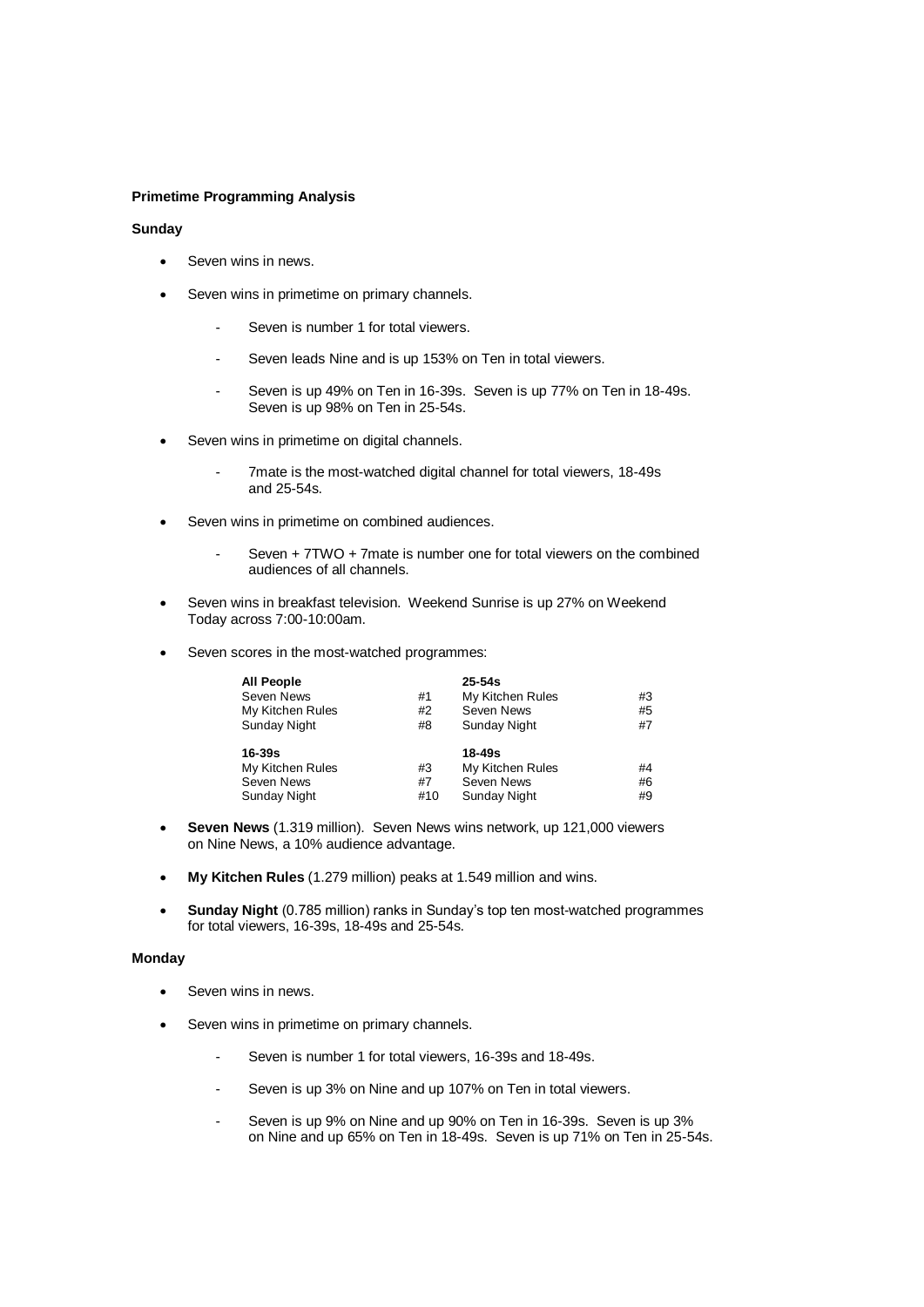## **Primetime Programming Analysis**

# **Sunday**

- Seven wins in news.
- Seven wins in primetime on primary channels.
	- Seven is number 1 for total viewers.
	- Seven leads Nine and is up 153% on Ten in total viewers.
	- Seven is up 49% on Ten in 16-39s. Seven is up 77% on Ten in 18-49s. Seven is up 98% on Ten in 25-54s.
- Seven wins in primetime on digital channels.
	- 7mate is the most-watched digital channel for total viewers, 18-49s and 25-54s.
- Seven wins in primetime on combined audiences.
	- Seven + 7TWO + 7mate is number one for total viewers on the combined audiences of all channels.
- Seven wins in breakfast television. Weekend Sunrise is up 27% on Weekend Today across 7:00-10:00am.
- Seven scores in the most-watched programmes:

| <b>All People</b><br>Seven News<br>My Kitchen Rules<br><b>Sunday Night</b> | #1<br>#2<br>#8  | $25 - 54s$<br>My Kitchen Rules<br>Seven News<br><b>Sunday Night</b> | #3<br>#5<br>#7 |
|----------------------------------------------------------------------------|-----------------|---------------------------------------------------------------------|----------------|
| 16-39s<br>My Kitchen Rules<br>Seven News<br><b>Sunday Night</b>            | #3<br>#7<br>#10 | $18 - 49s$<br>My Kitchen Rules<br>Seven News<br><b>Sunday Night</b> | #4<br>#6<br>#9 |

- **Seven News** (1.319 million). Seven News wins network, up 121,000 viewers on Nine News, a 10% audience advantage.
- **My Kitchen Rules** (1.279 million) peaks at 1.549 million and wins.
- **Sunday Night** (0.785 million) ranks in Sunday's top ten most-watched programmes for total viewers, 16-39s, 18-49s and 25-54s.

# **Monday**

- Seven wins in news.
- Seven wins in primetime on primary channels.
	- Seven is number 1 for total viewers, 16-39s and 18-49s.
	- Seven is up 3% on Nine and up 107% on Ten in total viewers.
	- Seven is up 9% on Nine and up 90% on Ten in 16-39s. Seven is up 3% on Nine and up 65% on Ten in 18-49s. Seven is up 71% on Ten in 25-54s.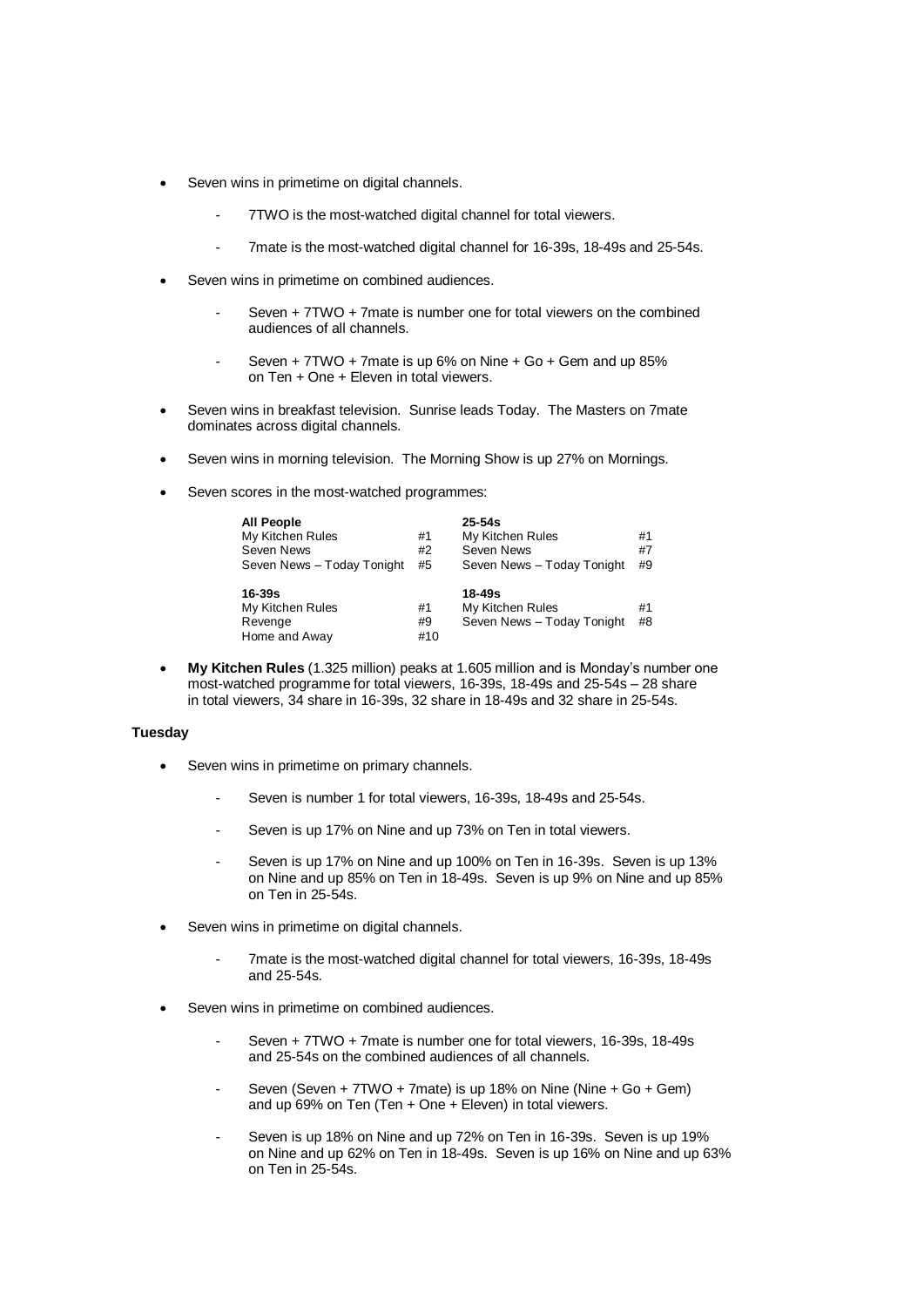- Seven wins in primetime on digital channels.
	- 7TWO is the most-watched digital channel for total viewers.
	- 7mate is the most-watched digital channel for 16-39s, 18-49s and 25-54s.
- Seven wins in primetime on combined audiences.
	- Seven + 7TWO + 7mate is number one for total viewers on the combined audiences of all channels.
	- Seven + 7TWO + 7mate is up 6% on Nine + Go + Gem and up 85% on Ten + One + Eleven in total viewers.
- Seven wins in breakfast television. Sunrise leads Today. The Masters on 7mate dominates across digital channels.
- Seven wins in morning television. The Morning Show is up 27% on Mornings.
- Seven scores in the most-watched programmes:

| <b>All People</b><br>My Kitchen Rules<br>Seven News<br>Seven News - Today Tonight | #1<br>#2<br>#5  | $25 - 54s$<br>My Kitchen Rules<br>Seven News<br>Seven News - Today Tonight | #1<br>#7<br>#9 |
|-----------------------------------------------------------------------------------|-----------------|----------------------------------------------------------------------------|----------------|
| 16-39s<br>My Kitchen Rules<br>Revenge<br>Home and Away                            | #1<br>#9<br>#10 | $18 - 49s$<br>My Kitchen Rules<br>Seven News - Today Tonight               | #1<br>#8       |

 **My Kitchen Rules** (1.325 million) peaks at 1.605 million and is Monday's number one most-watched programme for total viewers, 16-39s, 18-49s and 25-54s – 28 share in total viewers, 34 share in 16-39s, 32 share in 18-49s and 32 share in 25-54s.

## **Tuesday**

- Seven wins in primetime on primary channels.
	- Seven is number 1 for total viewers, 16-39s, 18-49s and 25-54s.
	- Seven is up 17% on Nine and up 73% on Ten in total viewers.
	- Seven is up 17% on Nine and up 100% on Ten in 16-39s. Seven is up 13% on Nine and up 85% on Ten in 18-49s. Seven is up 9% on Nine and up 85% on Ten in 25-54s.
- Seven wins in primetime on digital channels.
	- 7mate is the most-watched digital channel for total viewers, 16-39s, 18-49s and 25-54s.
- Seven wins in primetime on combined audiences.
	- Seven + 7TWO + 7mate is number one for total viewers, 16-39s, 18-49s and 25-54s on the combined audiences of all channels.
	- Seven (Seven + 7TWO + 7mate) is up 18% on Nine (Nine + Go + Gem) and up 69% on Ten (Ten + One + Eleven) in total viewers.
	- Seven is up 18% on Nine and up 72% on Ten in 16-39s. Seven is up 19% on Nine and up 62% on Ten in 18-49s. Seven is up 16% on Nine and up 63% on Ten in 25-54s.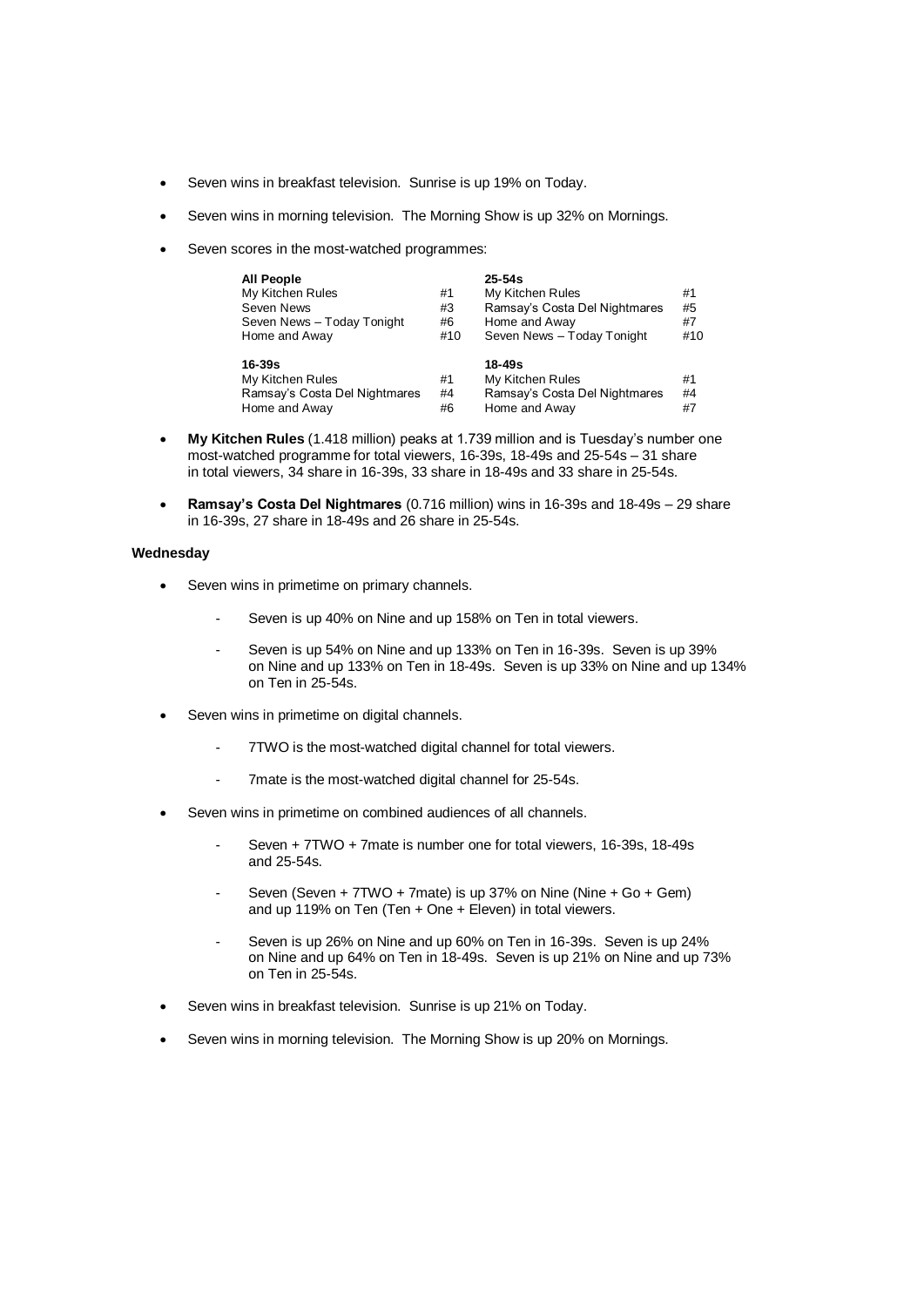- Seven wins in breakfast television. Sunrise is up 19% on Today.
- Seven wins in morning television. The Morning Show is up 32% on Mornings.
- Seven scores in the most-watched programmes:

| <b>All People</b><br>My Kitchen Rules<br>Seven News<br>Seven News - Today Tonight<br>Home and Away | #1<br>#3<br>#6<br>#10 | $25 - 54s$<br>My Kitchen Rules<br>Ramsay's Costa Del Nightmares<br>Home and Away<br>Seven News - Today Tonight | #1<br>#5<br>#7<br>#10 |
|----------------------------------------------------------------------------------------------------|-----------------------|----------------------------------------------------------------------------------------------------------------|-----------------------|
| 16-39s<br>My Kitchen Rules<br>Ramsay's Costa Del Nightmares<br>Home and Away                       | #1<br>#4<br>#6        | 18-49s<br>My Kitchen Rules<br>Ramsay's Costa Del Nightmares<br>Home and Away                                   | #1<br>#4<br>#7        |

- **My Kitchen Rules** (1.418 million) peaks at 1.739 million and is Tuesday's number one most-watched programme for total viewers, 16-39s, 18-49s and 25-54s – 31 share in total viewers, 34 share in 16-39s, 33 share in 18-49s and 33 share in 25-54s.
- **Ramsay's Costa Del Nightmares** (0.716 million) wins in 16-39s and 18-49s 29 share in 16-39s, 27 share in 18-49s and 26 share in 25-54s.

## **Wednesday**

- Seven wins in primetime on primary channels.
	- Seven is up 40% on Nine and up 158% on Ten in total viewers.
	- Seven is up 54% on Nine and up 133% on Ten in 16-39s. Seven is up 39% on Nine and up 133% on Ten in 18-49s. Seven is up 33% on Nine and up 134% on Ten in 25-54s.
- Seven wins in primetime on digital channels.
	- 7TWO is the most-watched digital channel for total viewers.
	- 7mate is the most-watched digital channel for 25-54s.
- Seven wins in primetime on combined audiences of all channels.
	- Seven + 7TWO + 7mate is number one for total viewers, 16-39s, 18-49s and 25-54s.
	- Seven (Seven +  $7TWO + 7m$ ate) is up 37% on Nine (Nine + Go + Gem) and up 119% on Ten (Ten  $+$  One  $+$  Eleven) in total viewers.
	- Seven is up 26% on Nine and up 60% on Ten in 16-39s. Seven is up 24% on Nine and up 64% on Ten in 18-49s. Seven is up 21% on Nine and up 73% on Ten in 25-54s.
- Seven wins in breakfast television. Sunrise is up 21% on Today.
- Seven wins in morning television. The Morning Show is up 20% on Mornings.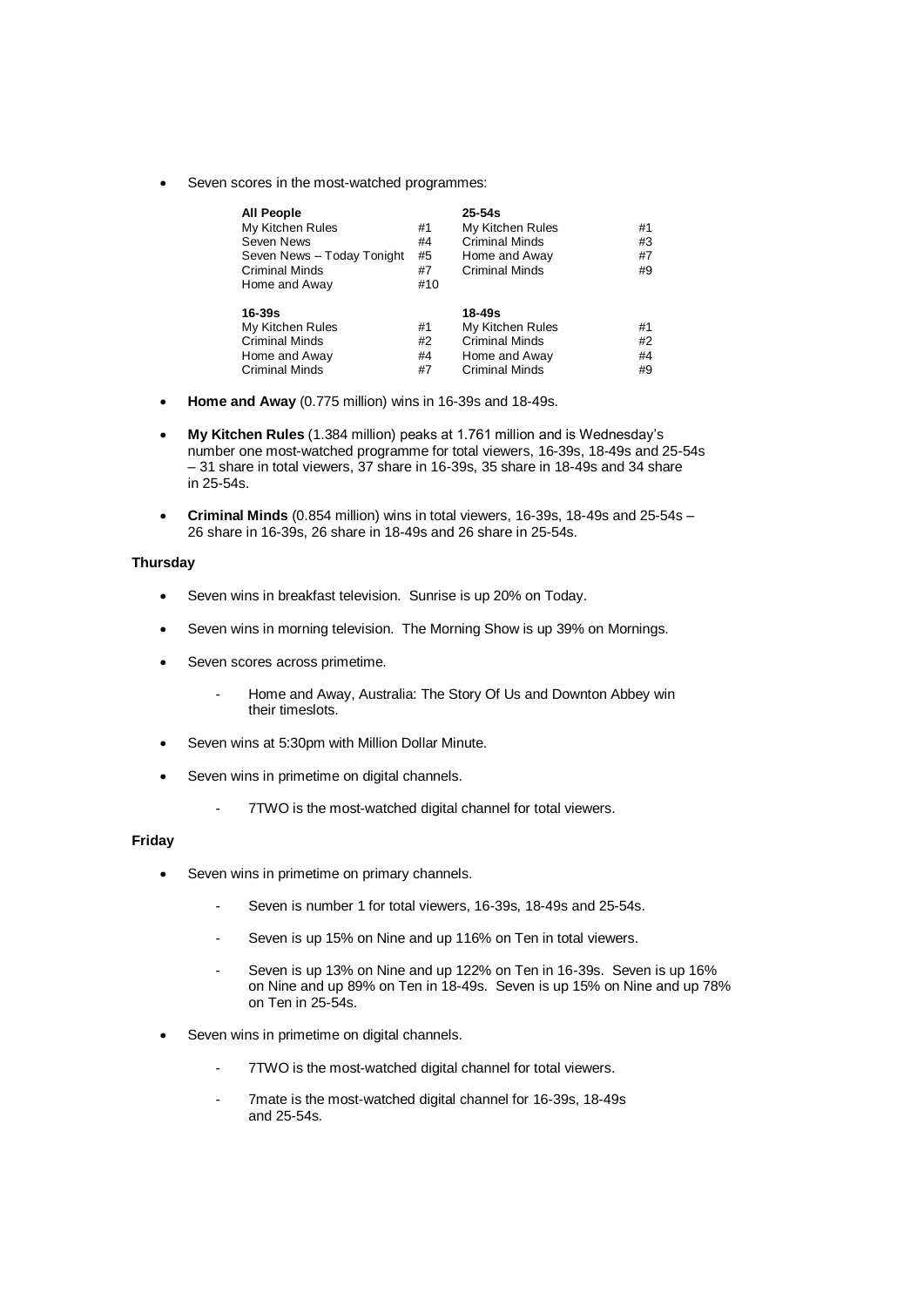Seven scores in the most-watched programmes:

| <b>All People</b>          |     | $25 - 54s$            |    |
|----------------------------|-----|-----------------------|----|
| My Kitchen Rules           | #1  | My Kitchen Rules      | #1 |
| Seven News                 | #4  | <b>Criminal Minds</b> | #3 |
| Seven News - Today Tonight | #5  | Home and Away         | #7 |
| <b>Criminal Minds</b>      | #7  | <b>Criminal Minds</b> | #9 |
| Home and Away              | #10 |                       |    |
| 16-39s                     |     | 18-49s                |    |
| My Kitchen Rules           | #1  | My Kitchen Rules      | #1 |
| <b>Criminal Minds</b>      | #2  | <b>Criminal Minds</b> | #2 |
| Home and Away              | #4  | Home and Away         | #4 |
| <b>Criminal Minds</b>      | #7  | <b>Criminal Minds</b> | #9 |

- **Home and Away** (0.775 million) wins in 16-39s and 18-49s.
- **My Kitchen Rules** (1.384 million) peaks at 1.761 million and is Wednesday's number one most-watched programme for total viewers, 16-39s, 18-49s and 25-54s – 31 share in total viewers, 37 share in 16-39s, 35 share in 18-49s and 34 share in 25-54s.
- **Criminal Minds** (0.854 million) wins in total viewers, 16-39s, 18-49s and 25-54s 26 share in 16-39s, 26 share in 18-49s and 26 share in 25-54s.

## **Thursday**

- Seven wins in breakfast television. Sunrise is up 20% on Today.
- Seven wins in morning television. The Morning Show is up 39% on Mornings.
- Seven scores across primetime.
	- Home and Away, Australia: The Story Of Us and Downton Abbey win their timeslots.
- Seven wins at 5:30pm with Million Dollar Minute.
- Seven wins in primetime on digital channels.
	- 7TWO is the most-watched digital channel for total viewers.

## **Friday**

- Seven wins in primetime on primary channels.
	- Seven is number 1 for total viewers, 16-39s, 18-49s and 25-54s.
	- Seven is up 15% on Nine and up 116% on Ten in total viewers.
	- Seven is up 13% on Nine and up 122% on Ten in 16-39s. Seven is up 16% on Nine and up 89% on Ten in 18-49s. Seven is up 15% on Nine and up 78% on Ten in 25-54s.
- Seven wins in primetime on digital channels.
	- 7TWO is the most-watched digital channel for total viewers.
	- 7mate is the most-watched digital channel for 16-39s, 18-49s and 25-54s.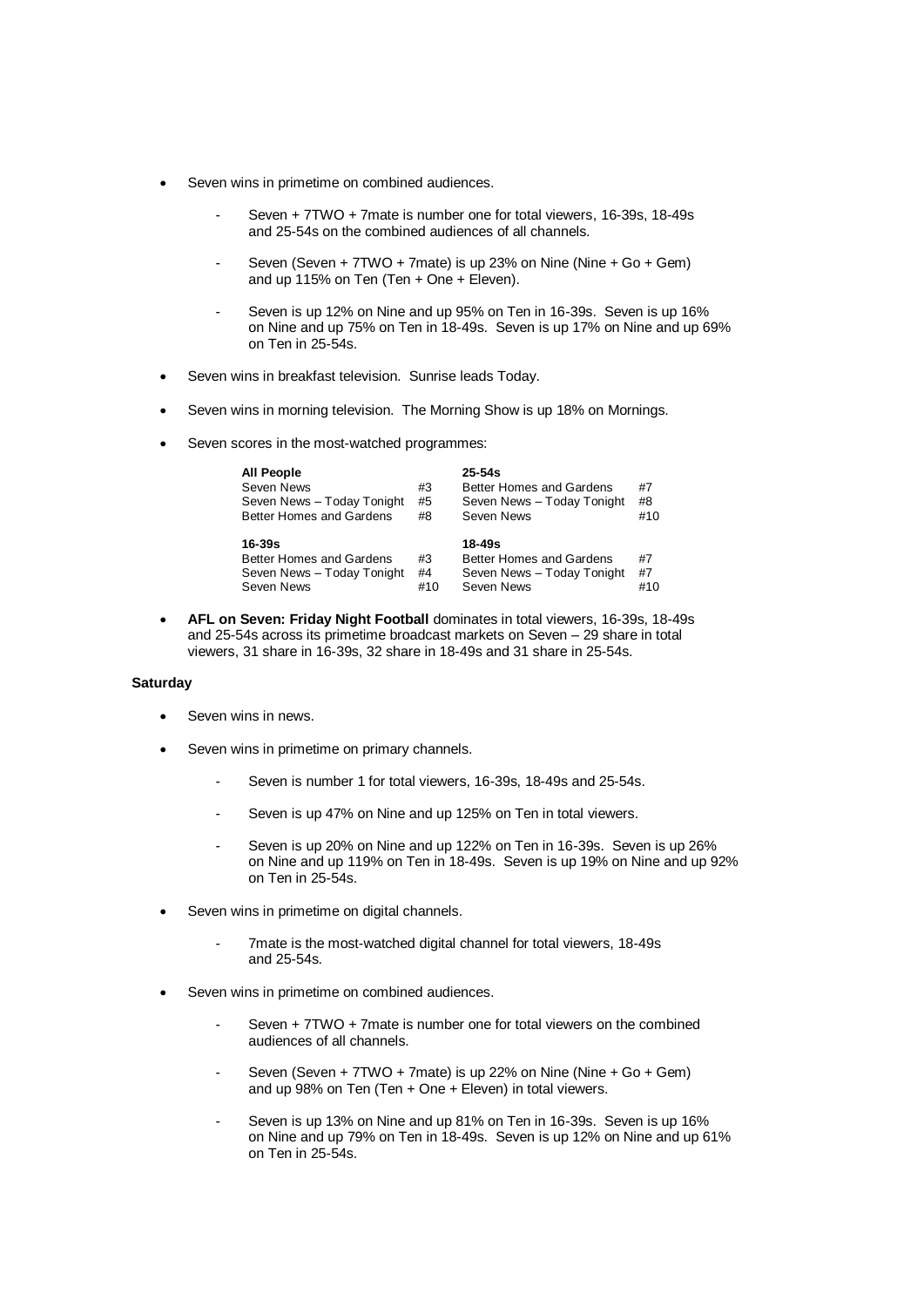- Seven wins in primetime on combined audiences.
	- Seven + 7TWO + 7mate is number one for total viewers, 16-39s, 18-49s and 25-54s on the combined audiences of all channels.
	- Seven (Seven + 7TWO + 7mate) is up 23% on Nine (Nine + Go + Gem) and up 115% on Ten (Ten + One + Eleven).
	- Seven is up 12% on Nine and up 95% on Ten in 16-39s. Seven is up 16% on Nine and up 75% on Ten in 18-49s. Seven is up 17% on Nine and up 69% on Ten in 25-54s.
- Seven wins in breakfast television. Sunrise leads Today.
- Seven wins in morning television. The Morning Show is up 18% on Mornings.
- Seven scores in the most-watched programmes:

| <b>All People</b><br>Seven News<br>Seven News - Today Tonight<br>Better Homes and Gardens | #3<br>#5<br>#8  | $25 - 54s$<br><b>Better Homes and Gardens</b><br>Seven News - Today Tonight<br>Seven News | #7<br>#8<br>#10 |
|-------------------------------------------------------------------------------------------|-----------------|-------------------------------------------------------------------------------------------|-----------------|
| $16 - 39s$<br>Better Homes and Gardens<br>Seven News - Today Tonight<br>Seven News        | #3<br>#4<br>#10 | 18-49s<br>Better Homes and Gardens<br>Seven News - Today Tonight<br>Seven News            | #7<br>#7<br>#10 |

 **AFL on Seven: Friday Night Football** dominates in total viewers, 16-39s, 18-49s and 25-54s across its primetime broadcast markets on Seven – 29 share in total viewers, 31 share in 16-39s, 32 share in 18-49s and 31 share in 25-54s.

## **Saturday**

- Seven wins in news.
- Seven wins in primetime on primary channels.
	- Seven is number 1 for total viewers, 16-39s, 18-49s and 25-54s.
	- Seven is up 47% on Nine and up 125% on Ten in total viewers.
	- Seven is up 20% on Nine and up 122% on Ten in 16-39s. Seven is up 26% on Nine and up 119% on Ten in 18-49s. Seven is up 19% on Nine and up 92% on Ten in 25-54s.
- Seven wins in primetime on digital channels.
	- 7mate is the most-watched digital channel for total viewers, 18-49s and 25-54s.
- Seven wins in primetime on combined audiences.
	- Seven + 7TWO + 7mate is number one for total viewers on the combined audiences of all channels.
	- Seven (Seven + 7TWO + 7mate) is up 22% on Nine (Nine + Go + Gem) and up 98% on Ten (Ten + One + Eleven) in total viewers.
	- Seven is up 13% on Nine and up 81% on Ten in 16-39s. Seven is up 16% on Nine and up 79% on Ten in 18-49s. Seven is up 12% on Nine and up 61% on Ten in 25-54s.